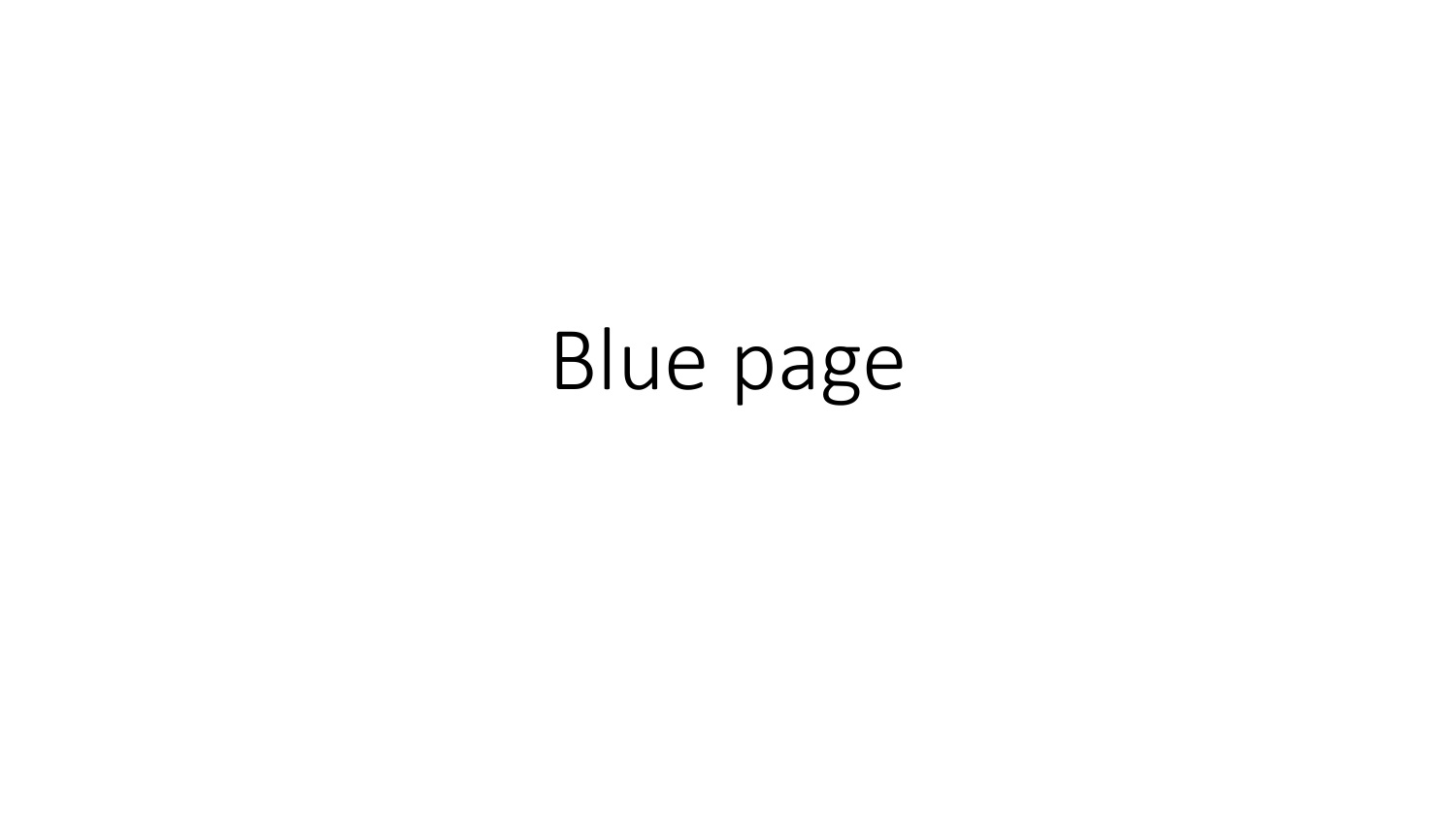# Blue page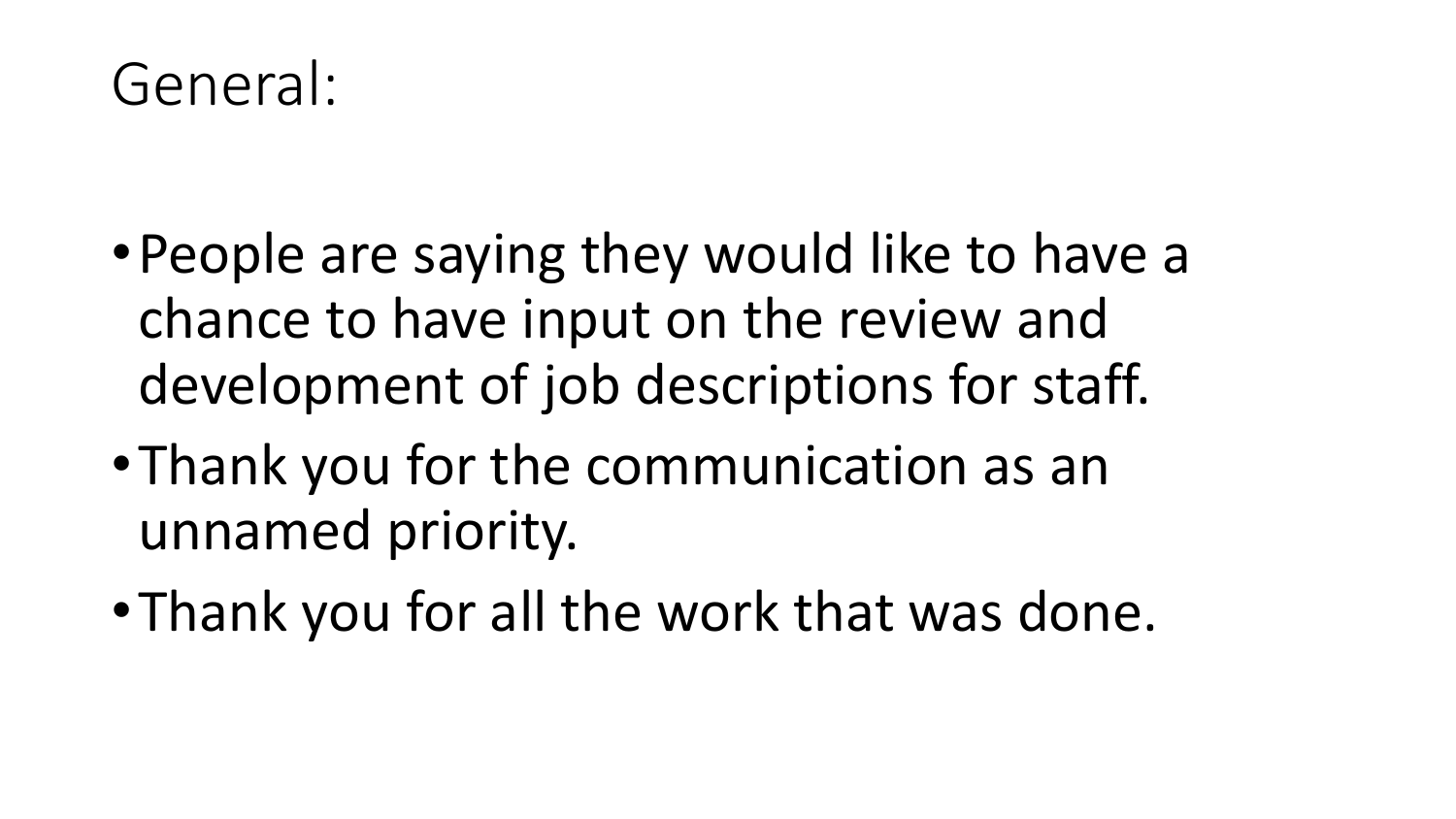### General:

- •People are saying they would like to have a chance to have input on the review and development of job descriptions for staff.
- •Thank you for the communication as an unnamed priority.
- •Thank you for all the work that was done.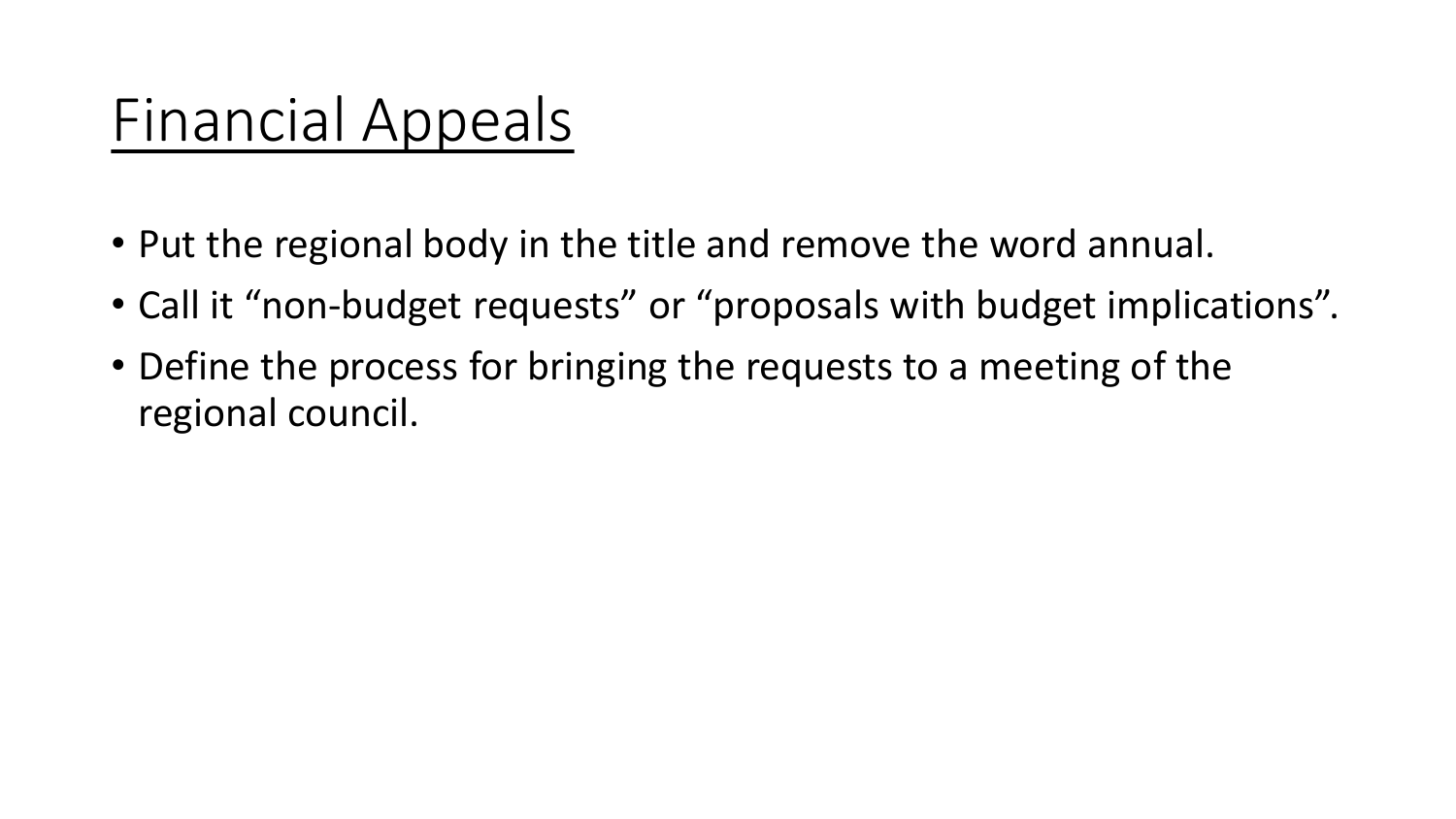## Financial Appeals

- Put the regional body in the title and remove the word annual.
- Call it "non-budget requests" or "proposals with budget implications".
- Define the process for bringing the requests to a meeting of the regional council.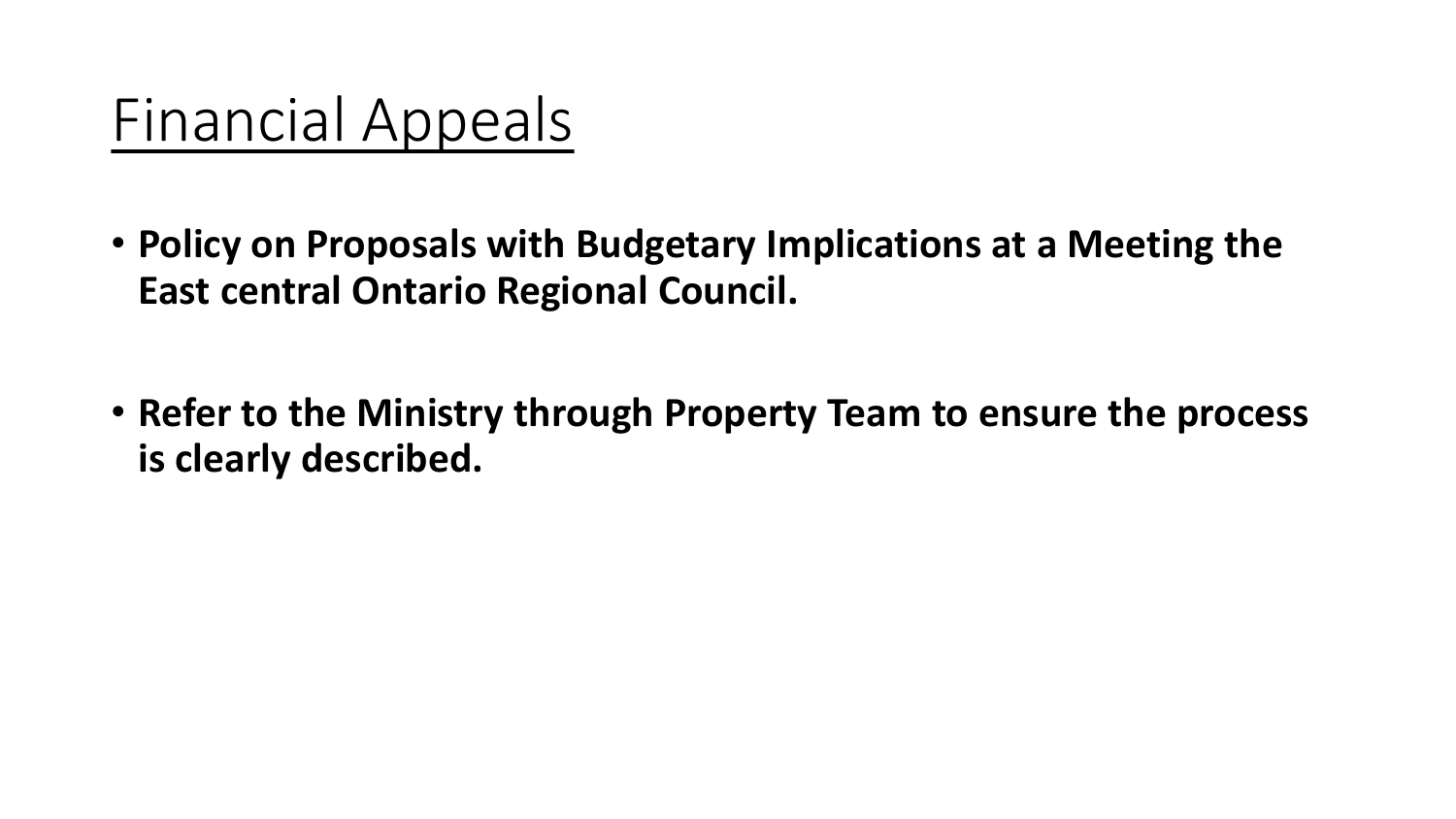### Financial Appeals

- **Policy on Proposals with Budgetary Implications at a Meeting the East central Ontario Regional Council.**
- **Refer to the Ministry through Property Team to ensure the process is clearly described.**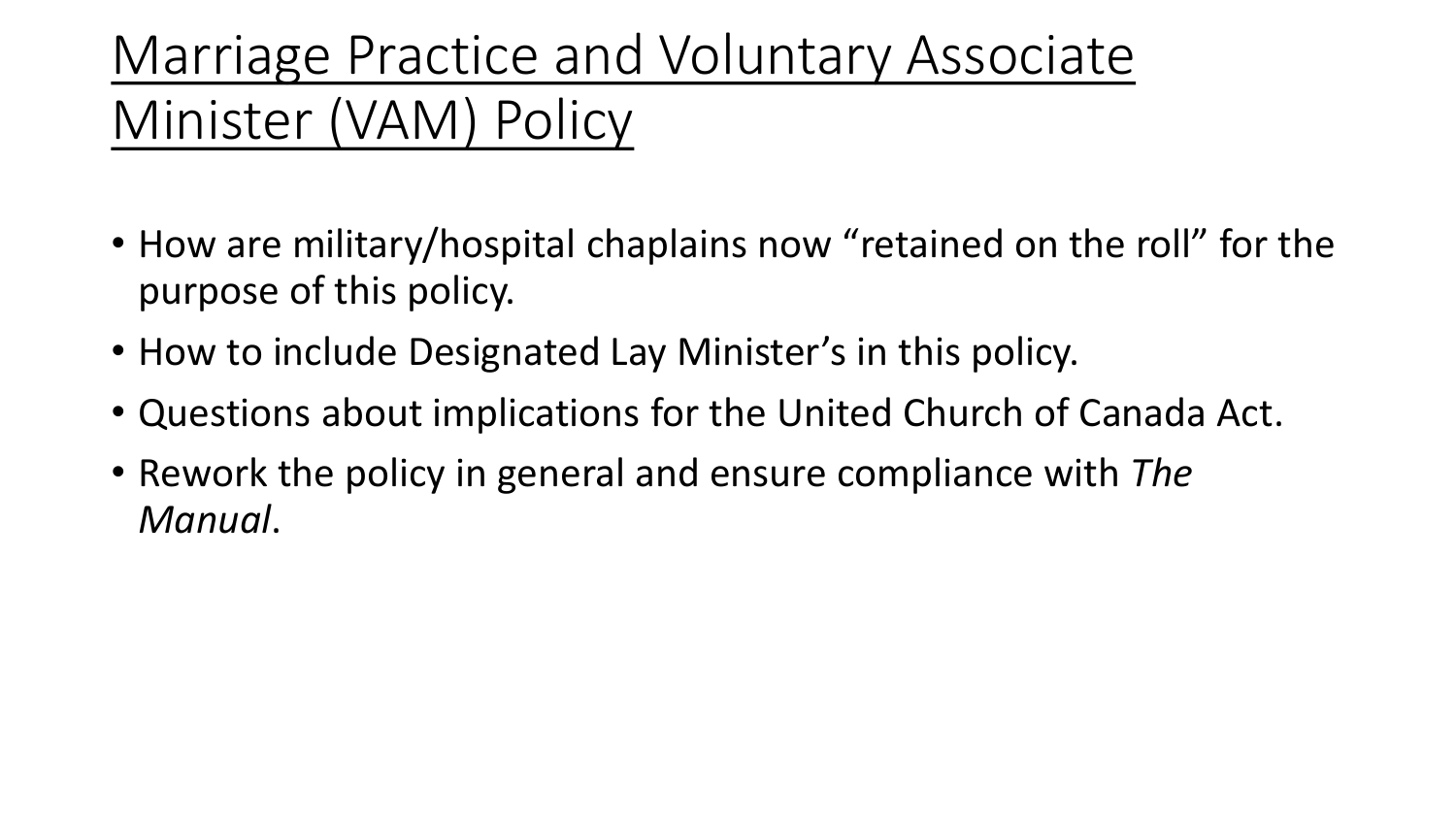### Marriage Practice and Voluntary Associate Minister (VAM) Policy

- How are military/hospital chaplains now "retained on the roll" for the purpose of this policy.
- How to include Designated Lay Minister's in this policy.
- Questions about implications for the United Church of Canada Act.
- Rework the policy in general and ensure compliance with *The Manual*.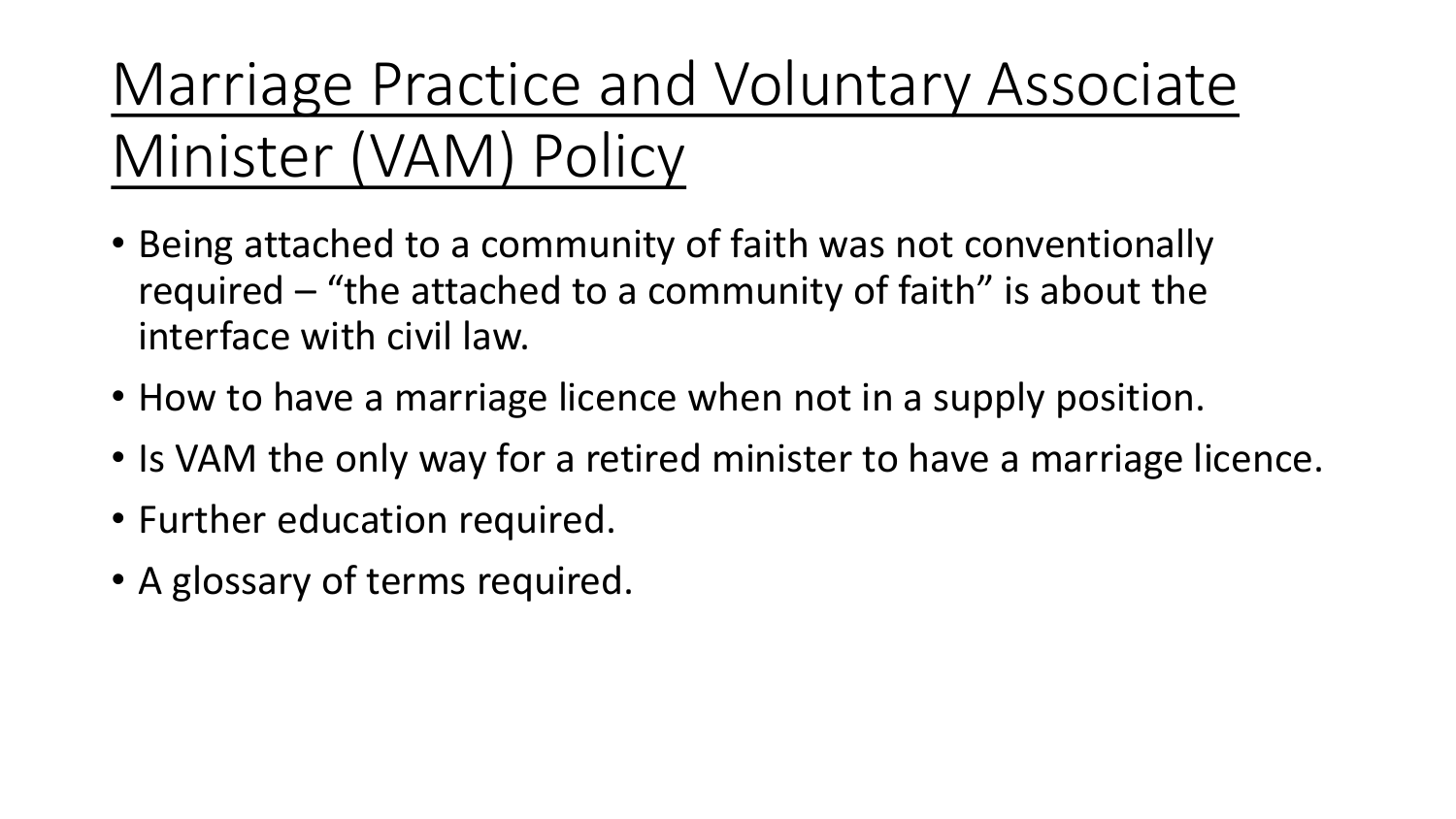Marriage Practice and Voluntary Associate Minister (VAM) Policy

- Being attached to a community of faith was not conventionally required – "the attached to a community of faith" is about the interface with civil law.
- How to have a marriage licence when not in a supply position.
- Is VAM the only way for a retired minister to have a marriage licence.
- Further education required.
- A glossary of terms required.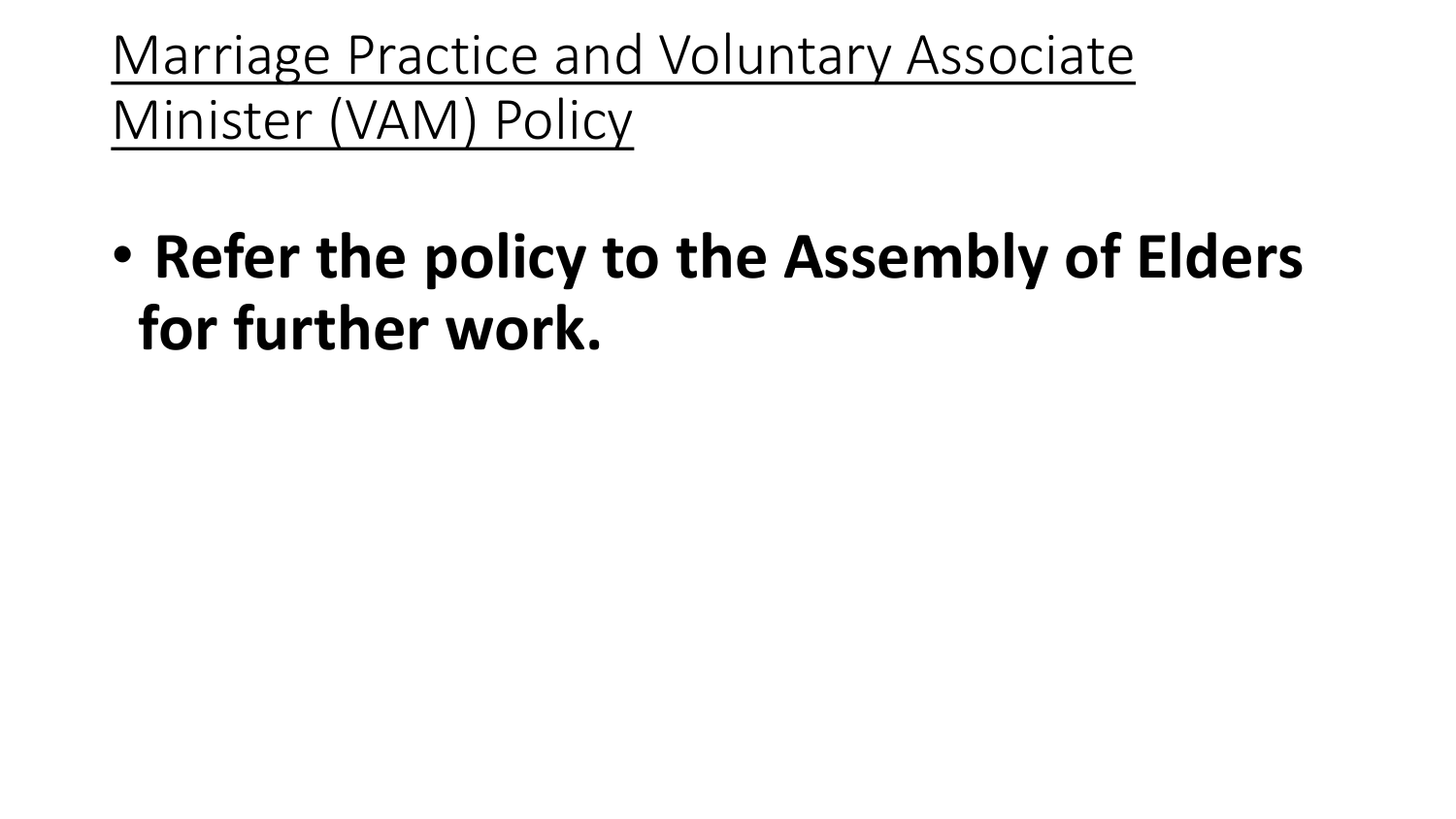Marriage Practice and Voluntary Associate Minister (VAM) Policy

• **Refer the policy to the Assembly of Elders for further work.**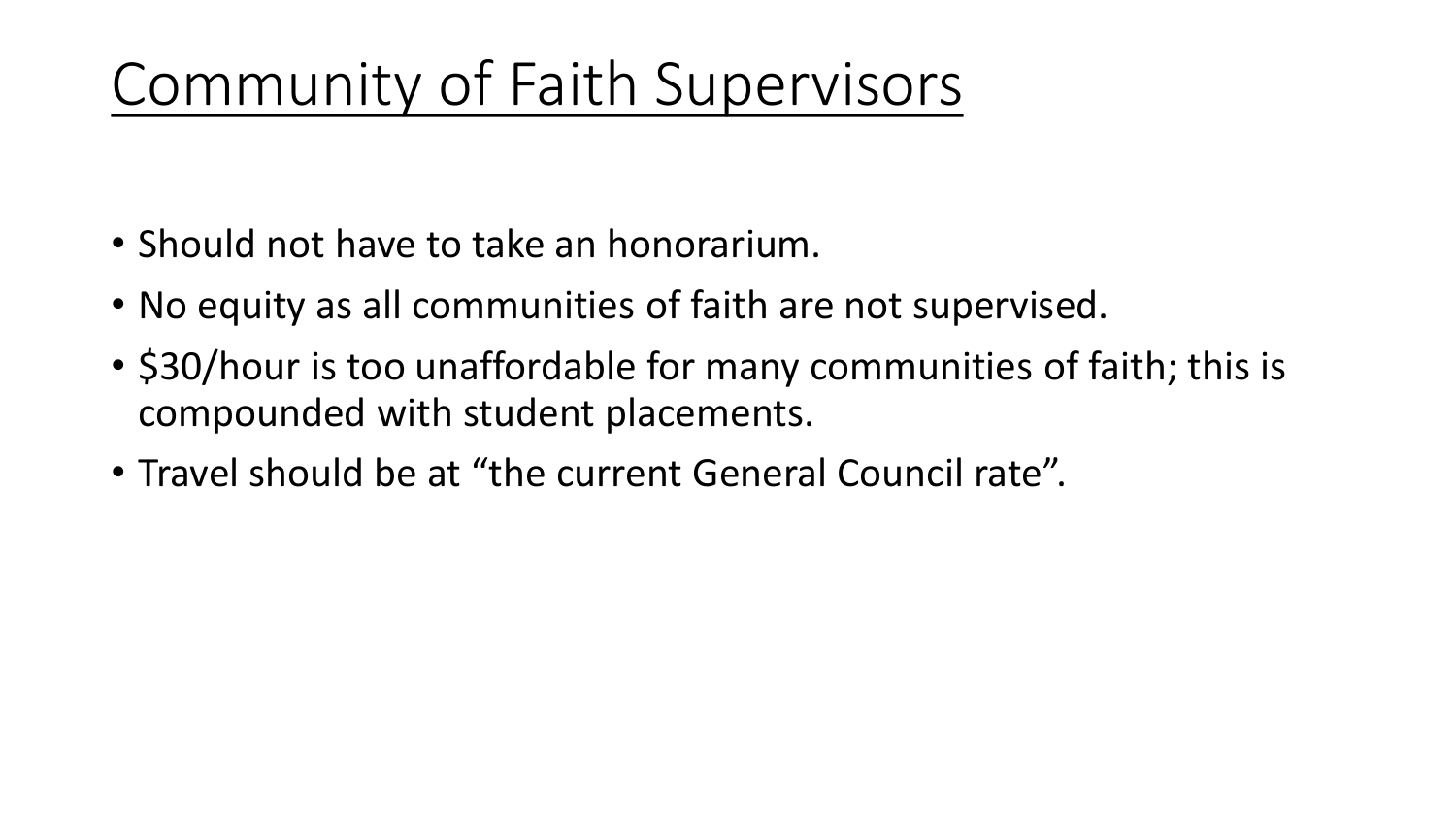# Community of Faith Supervisors

- Should not have to take an honorarium.
- No equity as all communities of faith are not supervised.
- \$30/hour is too unaffordable for many communities of faith; this is compounded with student placements.
- Travel should be at "the current General Council rate".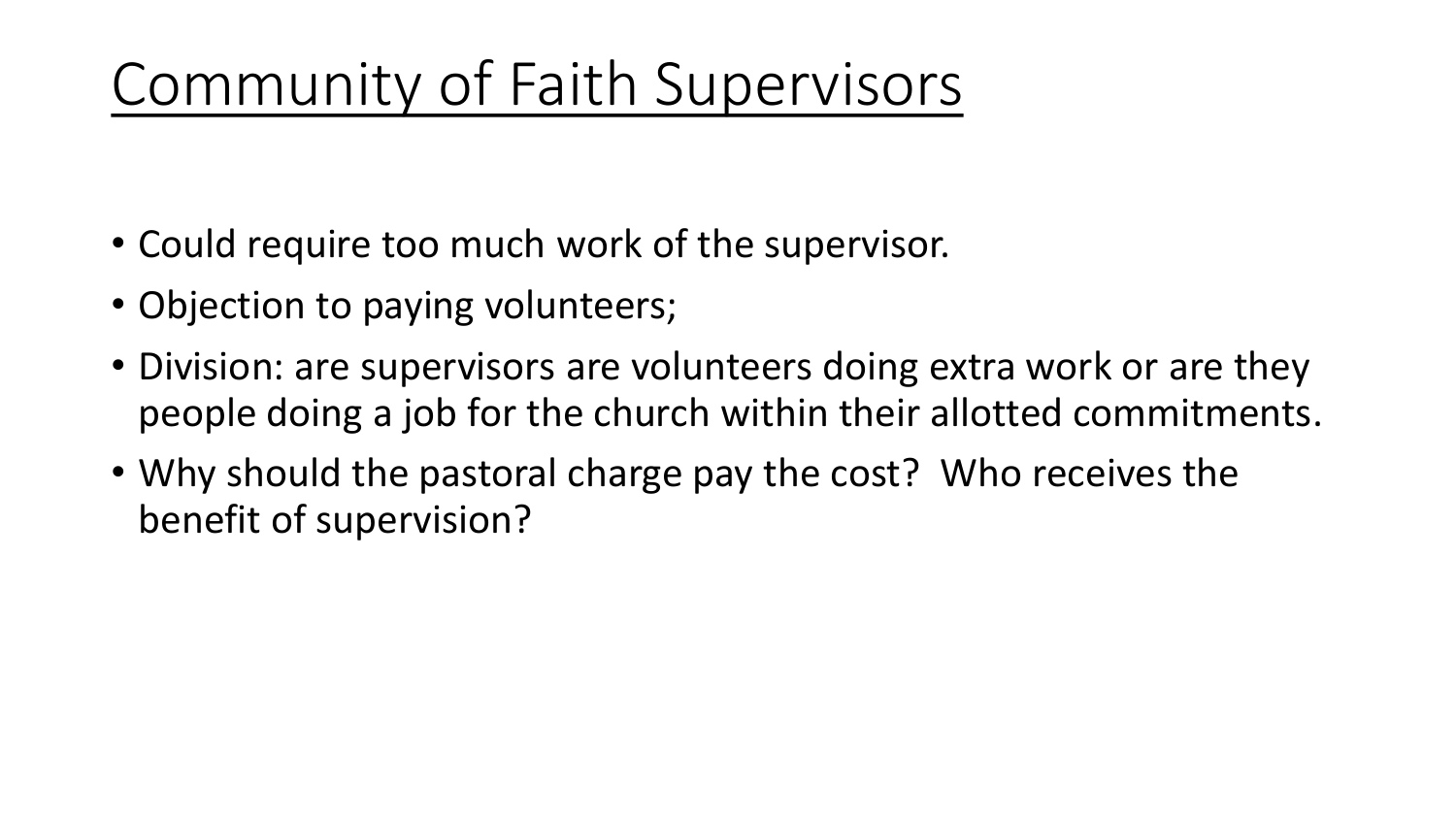# Community of Faith Supervisors

- Could require too much work of the supervisor.
- Objection to paying volunteers;
- Division: are supervisors are volunteers doing extra work or are they people doing a job for the church within their allotted commitments.
- Why should the pastoral charge pay the cost? Who receives the benefit of supervision?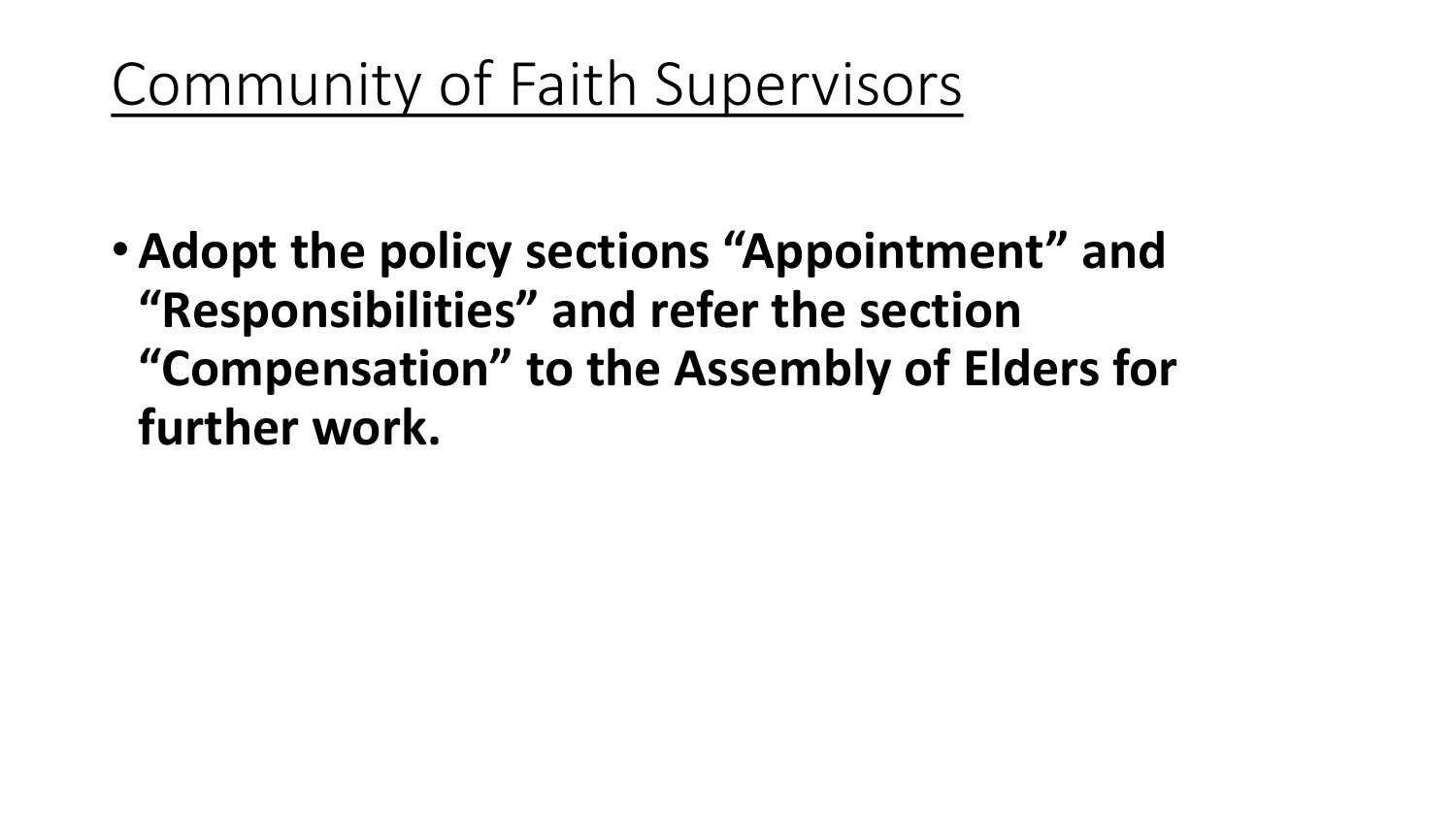Community of Faith Supervisors

•**Adopt the policy sections "Appointment" and "Responsibilities" and refer the section "Compensation" to the Assembly of Elders for further work.**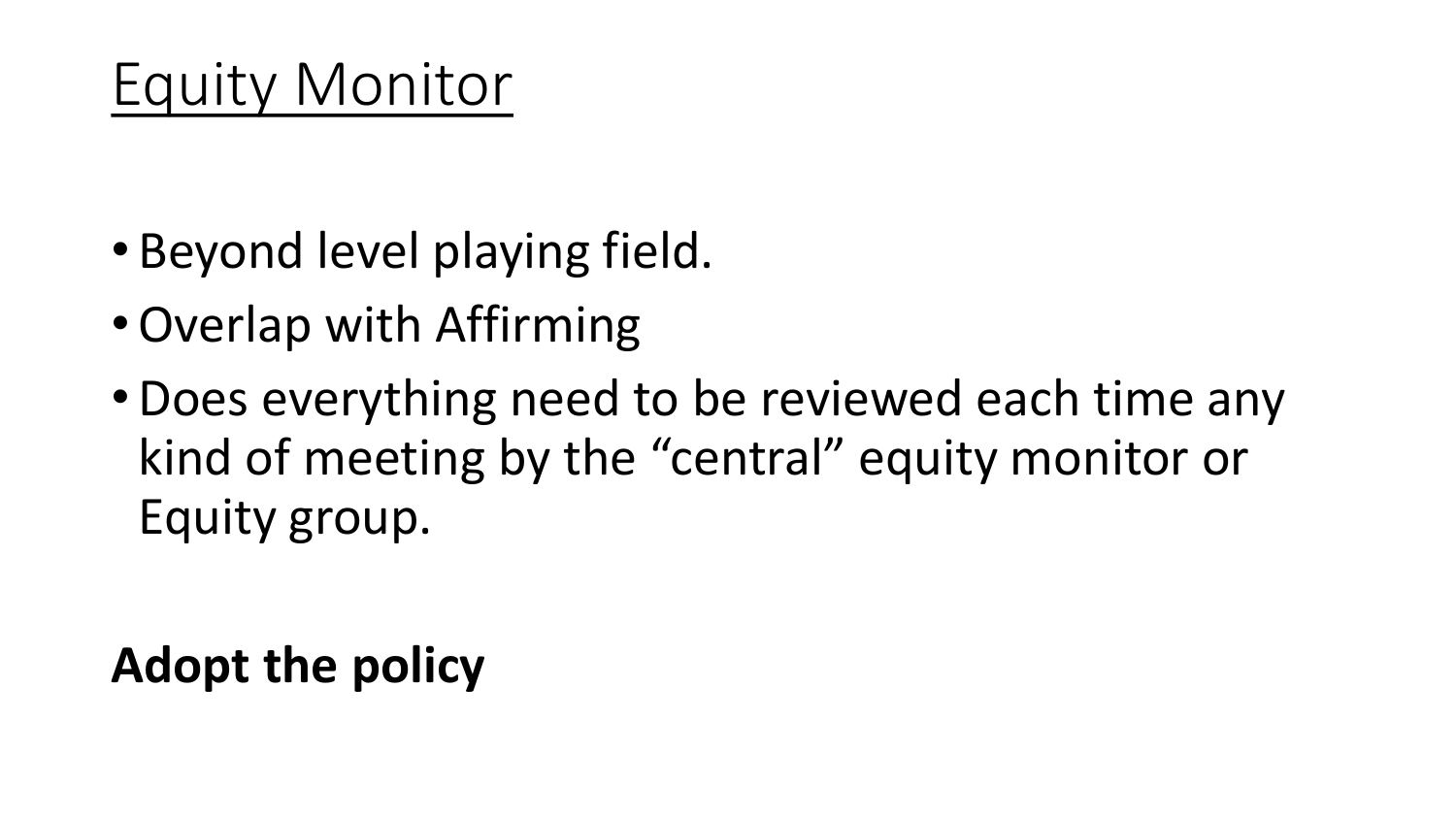- Beyond level playing field.
- •Overlap with Affirming
- •Does everything need to be reviewed each time any kind of meeting by the "central" equity monitor or Equity group.

**Adopt the policy**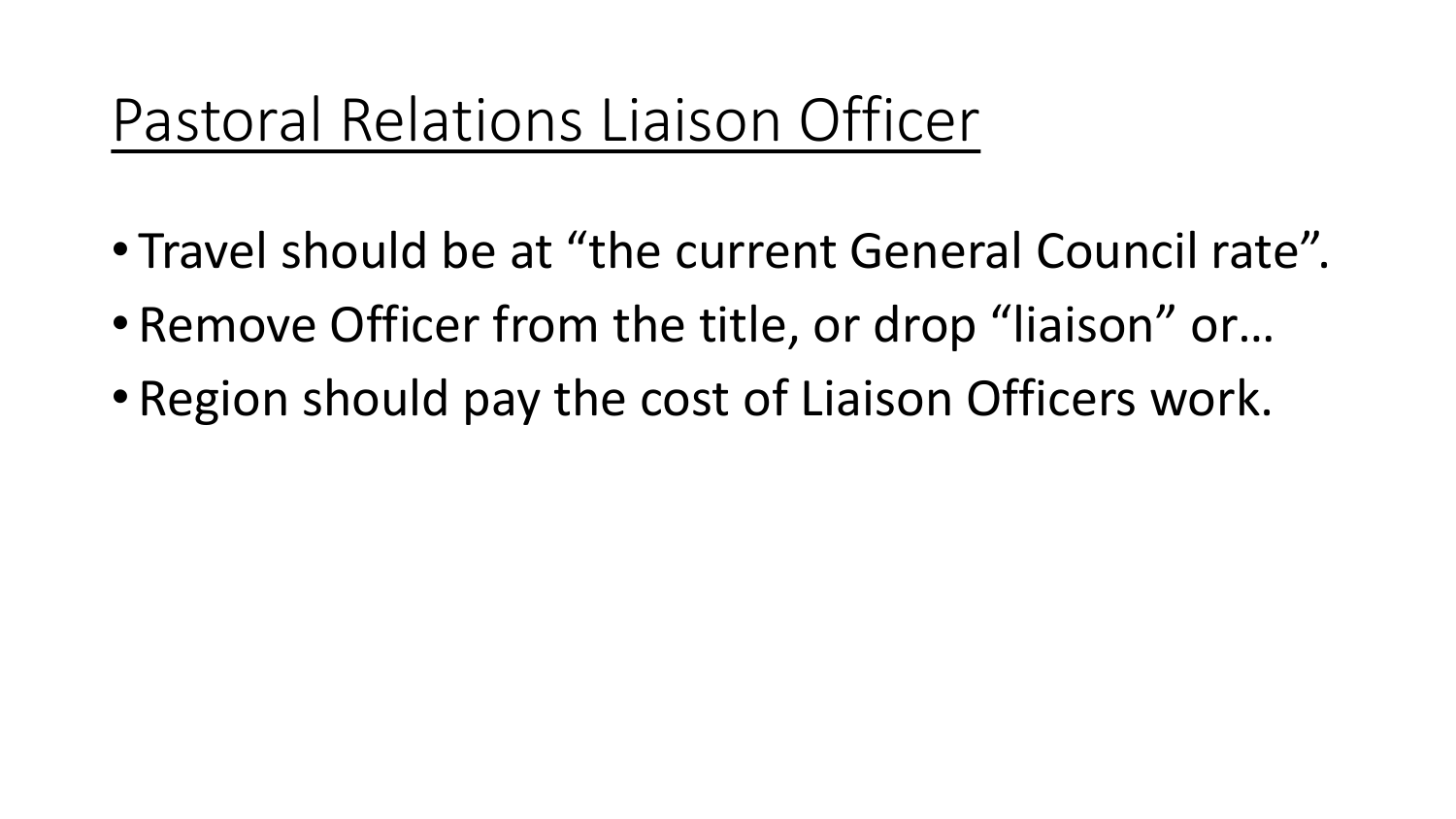## Pastoral Relations Liaison Officer

- Travel should be at "the current General Council rate".
- Remove Officer from the title, or drop "liaison" or…
- Region should pay the cost of Liaison Officers work.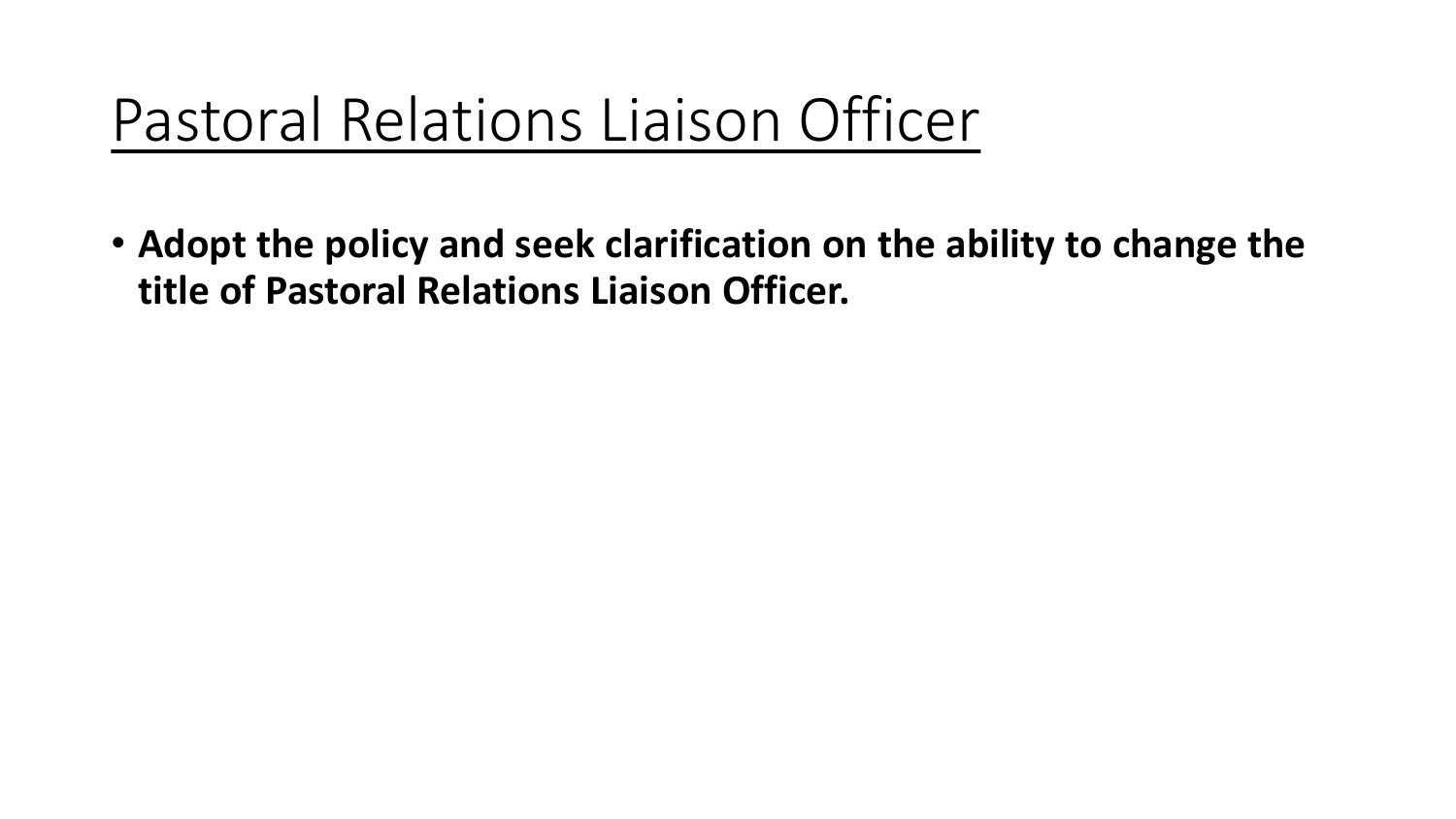## Pastoral Relations Liaison Officer

• **Adopt the policy and seek clarification on the ability to change the title of Pastoral Relations Liaison Officer.**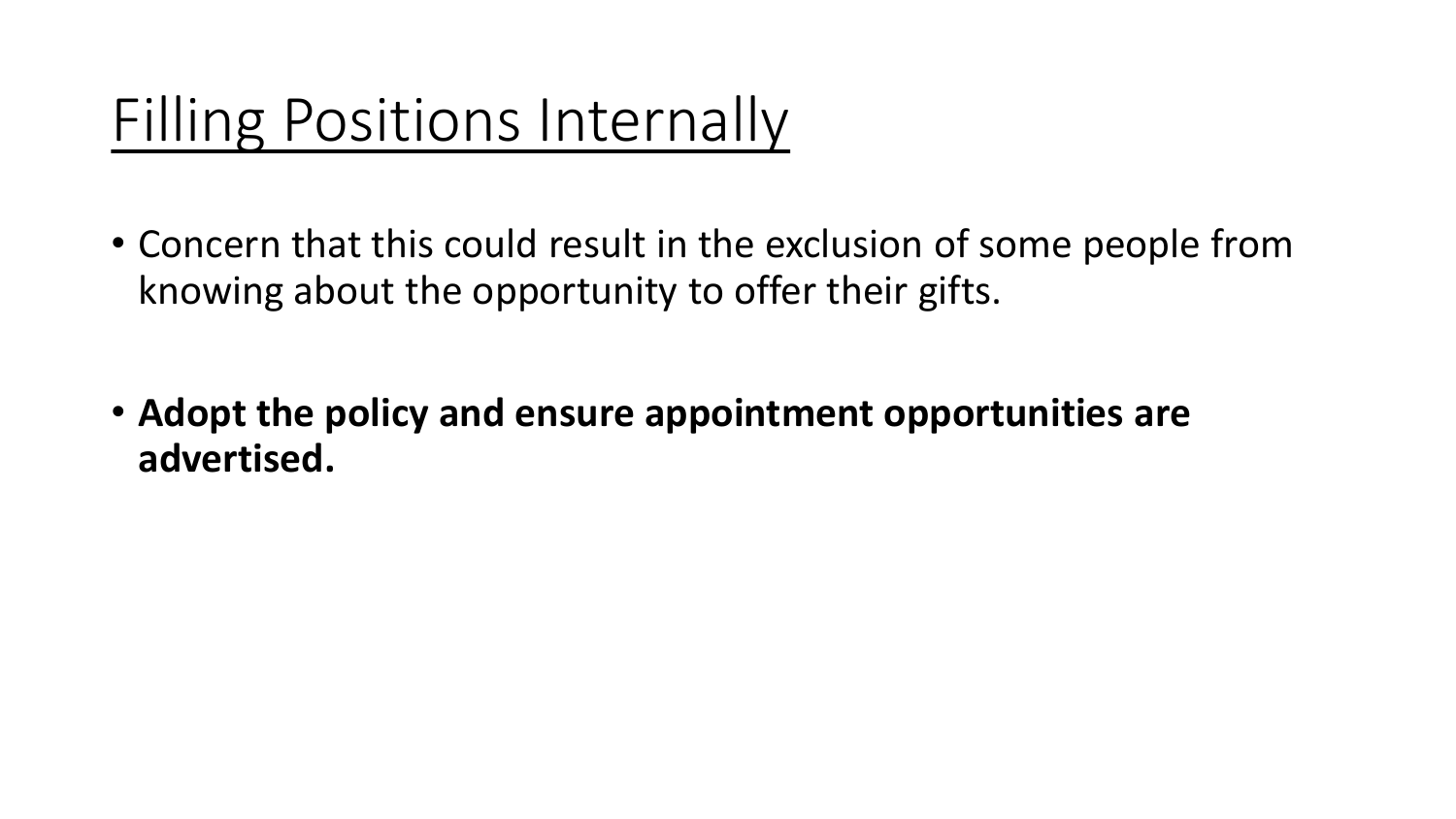# Filling Positions Internally

- Concern that this could result in the exclusion of some people from knowing about the opportunity to offer their gifts.
- **Adopt the policy and ensure appointment opportunities are advertised.**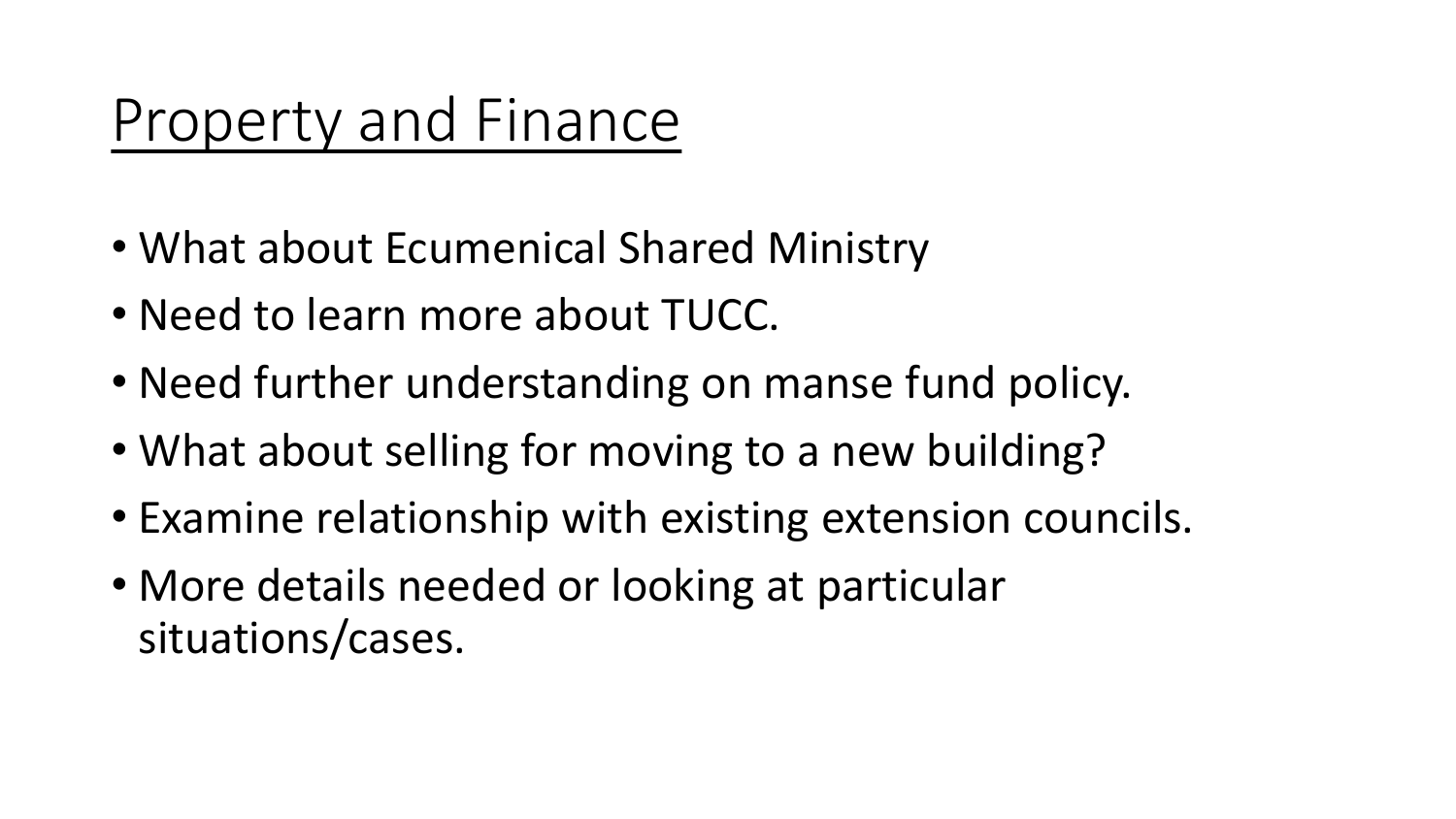### Property and Finance

- What about Ecumenical Shared Ministry
- Need to learn more about TUCC.
- Need further understanding on manse fund policy.
- What about selling for moving to a new building?
- Examine relationship with existing extension councils.
- More details needed or looking at particular situations/cases.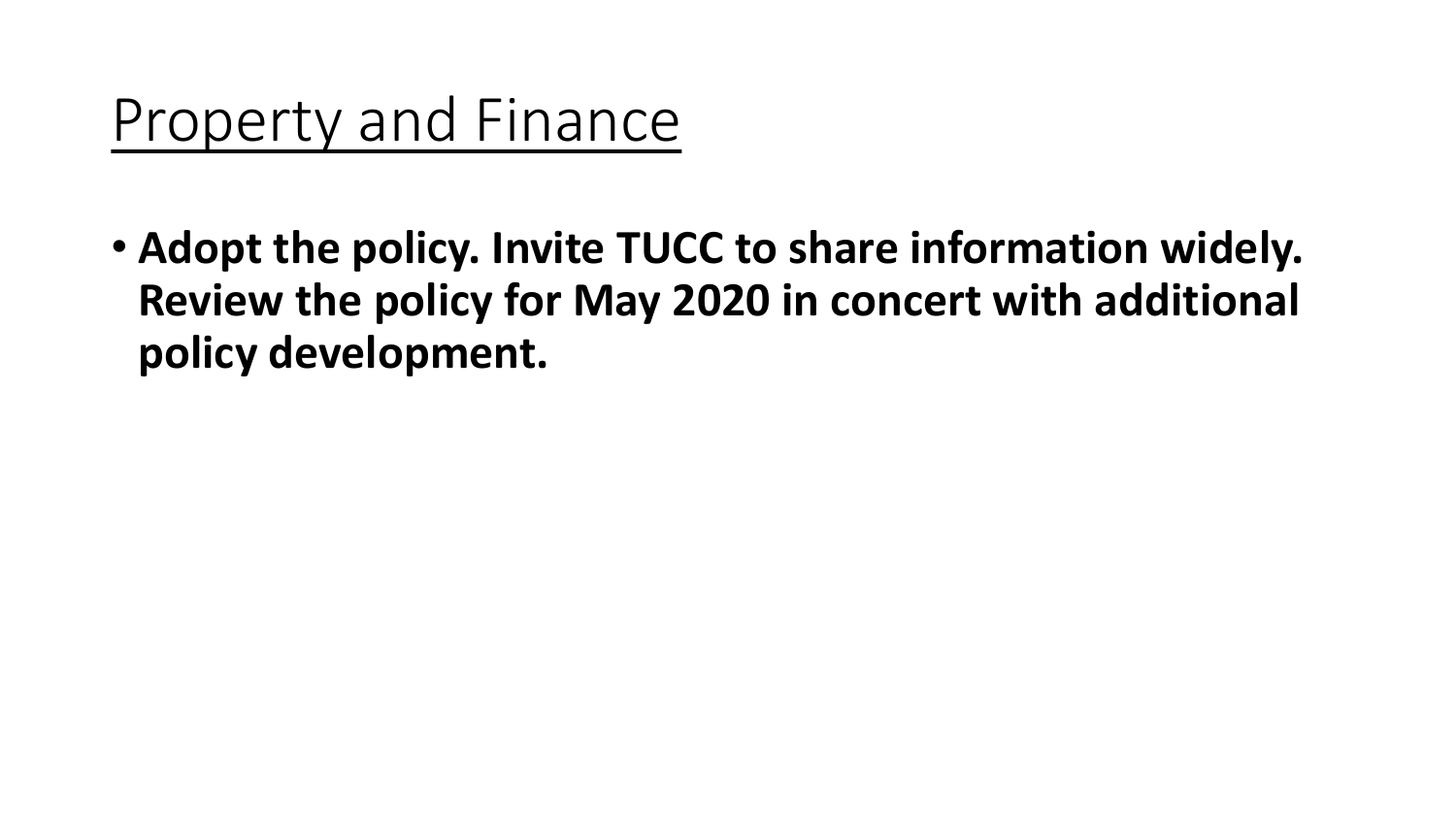### Property and Finance

• **Adopt the policy. Invite TUCC to share information widely. Review the policy for May 2020 in concert with additional policy development.**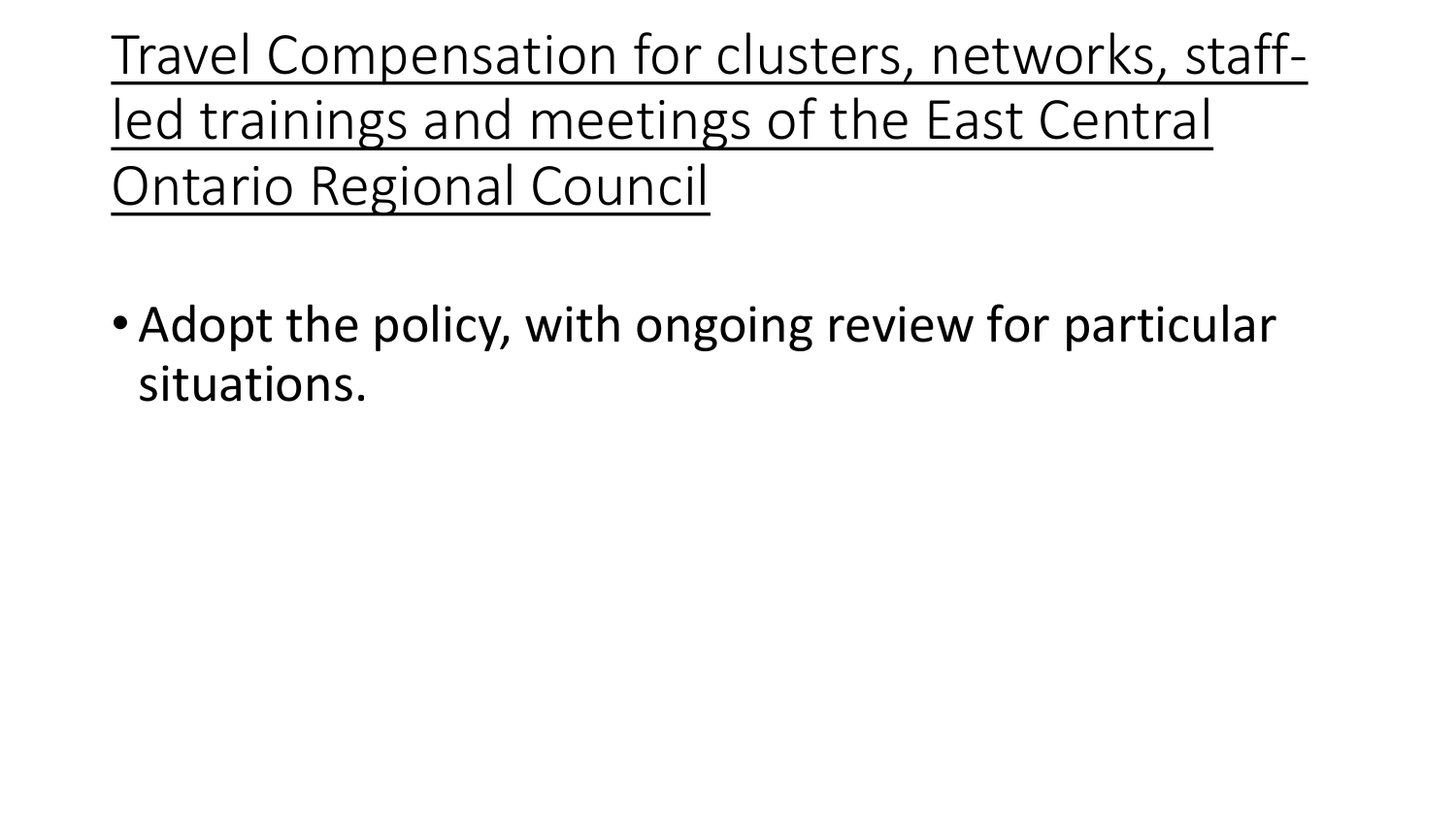Travel Compensation for clusters, networks, staffled trainings and meetings of the East Central Ontario Regional Council

• Adopt the policy, with ongoing review for particular situations.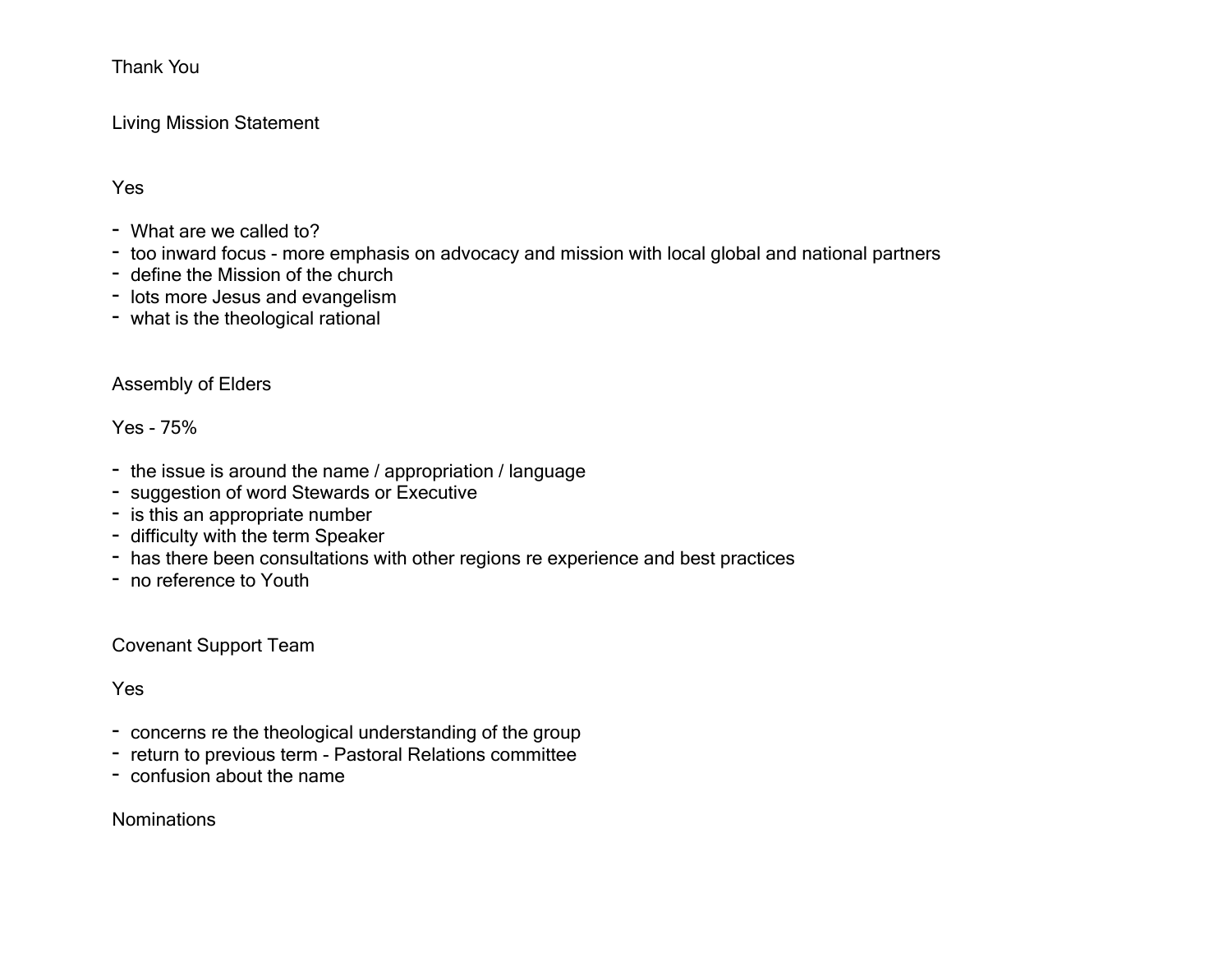#### Living Mission Statement

Yes

- What are we called to?
- too inward focus more emphasis on advocacy and mission with local global and national partners
- define the Mission of the church
- lots more Jesus and evangelism
- what is the theological rational

#### Assembly of Elders

Yes - 75%

- the issue is around the name / appropriation / language
- suggestion of word Stewards or Executive
- is this an appropriate number
- difficulty with the term Speaker
- has there been consultations with other regions re experience and best practices
- no reference to Youth

Covenant Support Team

Yes

- concerns re the theological understanding of the group
- return to previous term Pastoral Relations committee
- confusion about the name

Nominations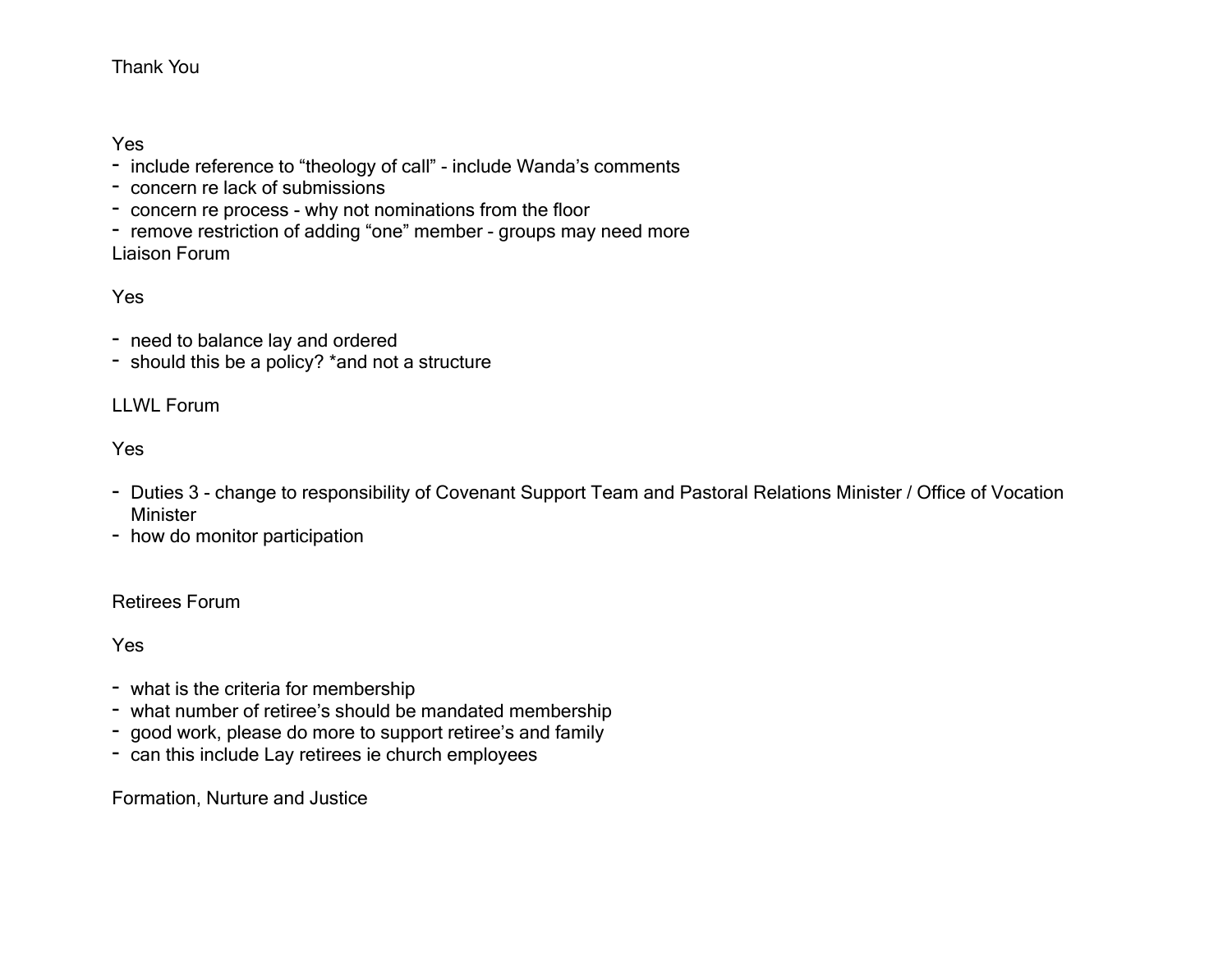Yes

- include reference to "theology of call" include Wanda's comments
- concern re lack of submissions
- concern re process why not nominations from the floor
- remove restriction of adding "one" member groups may need more Liaison Forum

Yes

- need to balance lay and ordered
- should this be a policy? \*and not a structure

#### LLWL Forum

Yes

- Duties 3 change to responsibility of Covenant Support Team and Pastoral Relations Minister / Office of Vocation Minister
- how do monitor participation

#### Retirees Forum

Yes

- what is the criteria for membership
- what number of retiree's should be mandated membership
- good work, please do more to support retiree's and family
- can this include Lay retirees ie church employees

Formation, Nurture and Justice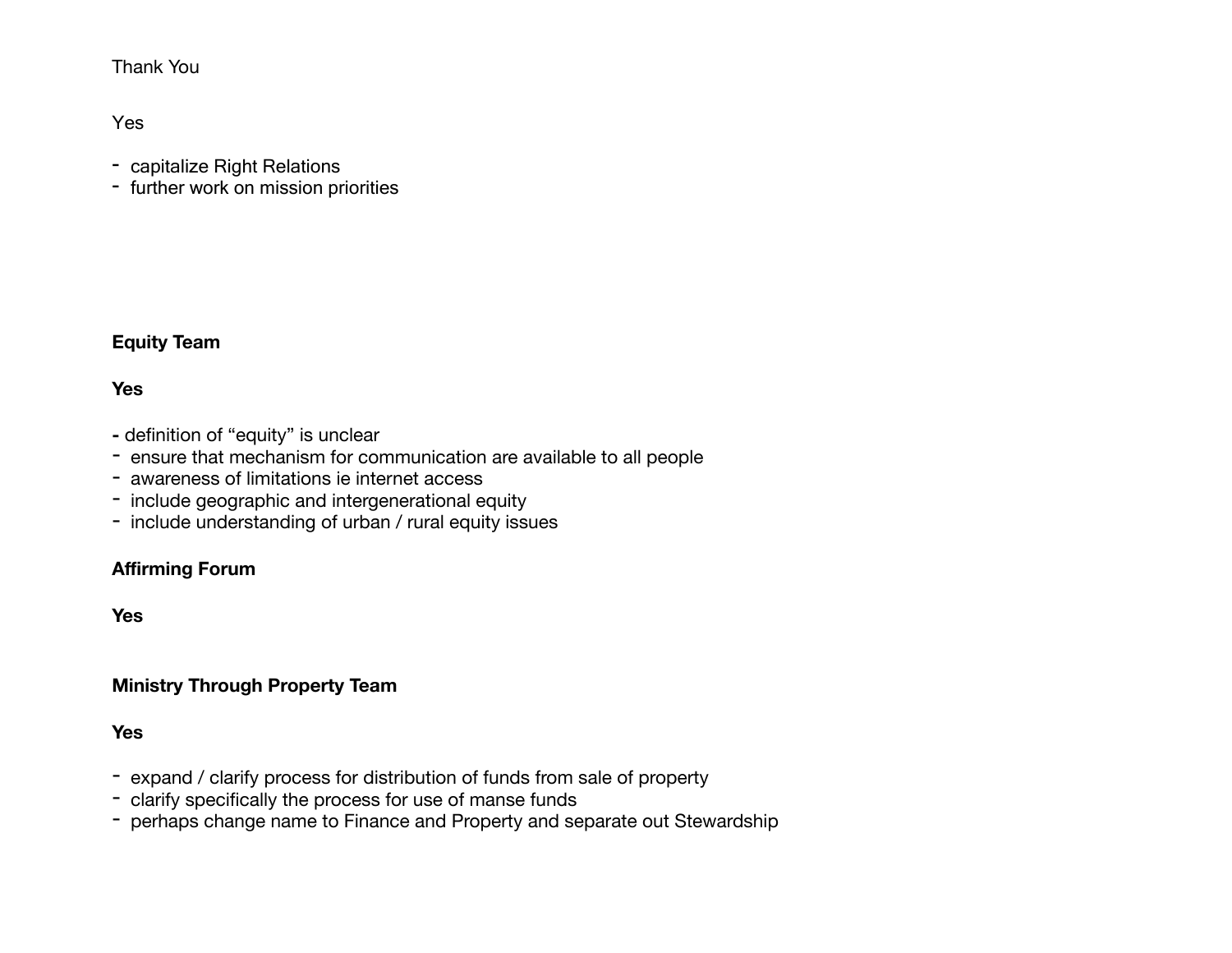Yes

- capitalize Right Relations
- further work on mission priorities

#### **Equity Team**

#### **Yes**

- definition of "equity" is unclear
- ensure that mechanism for communication are available to all people
- awareness of limitations ie internet access
- include geographic and intergenerational equity
- include understanding of urban / rural equity issues

#### **Affirming Forum**

**Yes** 

#### **Ministry Through Property Team**

**Yes** 

- expand / clarify process for distribution of funds from sale of property
- clarify specifically the process for use of manse funds
- perhaps change name to Finance and Property and separate out Stewardship